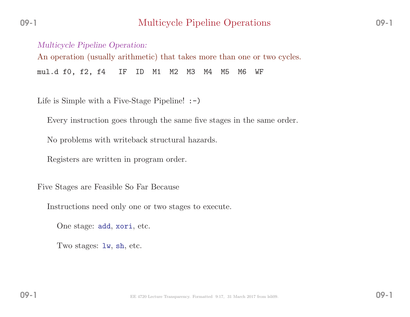Multicycle Pipeline Operation: An operation (usually arithmetic) that takes more than one or two cycles. mul.d f0, f2, f4 IF ID M1 M2 M3 M4 M5 M6 WF

Life is Simple with a Five-Stage Pipeline! :-)

Every instruction goes through the same five stages in the same order.

No problems with writeback structural hazards.

Registers are written in program order.

Five Stages are Feasible So Far Because

Instructions need only one or two stages to execute.

One stage: add, xori, etc.

Two stages: lw, sh, etc.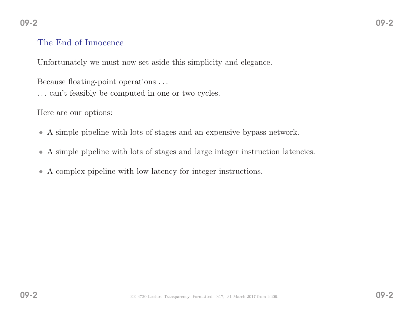#### The End of Innocence

Unfortunately we must now set aside this simplicity and elegance.

Because floating-point operations . . .

... can't feasibly be computed in one or two cycles.

Here are our options:

- <sup>A</sup> simple <sup>p</sup>ipeline with lots of stages and an expensive bypass network.
- <sup>A</sup> simple <sup>p</sup>ipeline with lots of stages and large integer instruction latencies.
- <sup>A</sup> complex <sup>p</sup>ipeline with low latency for integer instructions.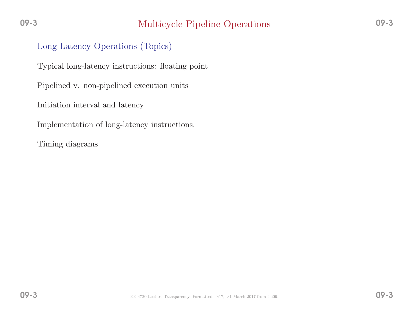#### Long-Latency Operations (Topics)

Typical long-latency instructions: floating point

Pipelined v. non-pipelined execution units

Initiation interval and latency

Implementation of long-latency instructions.

Timing diagrams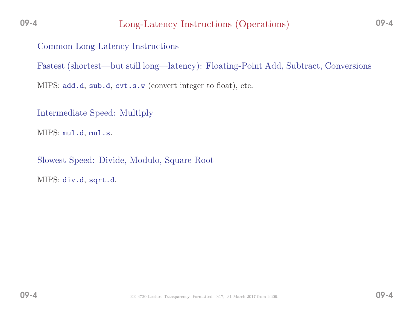Common Long-Latency Instructions

Fastest (shortest—but still long—latency): Floating-Point Add, Subtract, Conversions

MIPS: add.d, sub.d, cvt.s.w (convert integer to float), etc.

Intermediate Speed: Multiply

 $\operatorname{MIPS:\;mul.d,\;mul.s.}$ 

Slowest Speed: Divide, Modulo, Square Root

MIPS: div.d, sqrt.d.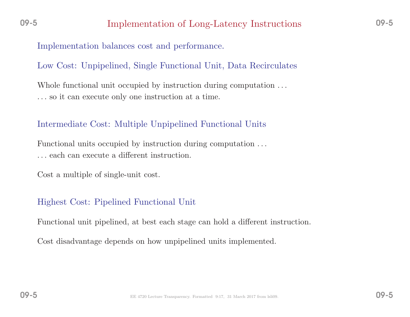Implementation balances cost and performance.

Low Cost: Unpipelined, Single Functional Unit, Data Recirculates

Whole functional unit occupied by instruction during computation  $\dots$ . . . so it can execute only one instruction at <sup>a</sup> time.

#### Intermediate Cost: Multiple Unpipelined Functional Units

Functional units occupied by instruction during computation . . . . . . each can execute <sup>a</sup> different instruction.

Cost <sup>a</sup> multiple of single-unit cost.

## Highest Cost: Pipelined Functional Unit

Functional unit <sup>p</sup>ipelined, at best each stage can hold <sup>a</sup> different instruction.

Cost disadvantage depends on how unpipelined units implemented.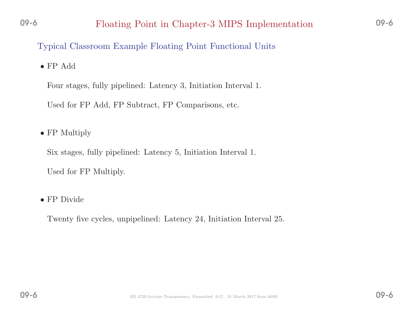Typical Classroom Example Floating Point Functional Units

• FP Add

Four stages, fully <sup>p</sup>ipelined: Latency 3, Initiation Interval 1.

Used for FP Add, FP Subtract, FP Comparisons, etc.

• FP Multiply

Six stages, fully <sup>p</sup>ipelined: Latency 5, Initiation Interval 1.

Used for FP Multiply.

• FP Divide

Twenty five cycles, unpipelined: Latency 24, Initiation Interval 25.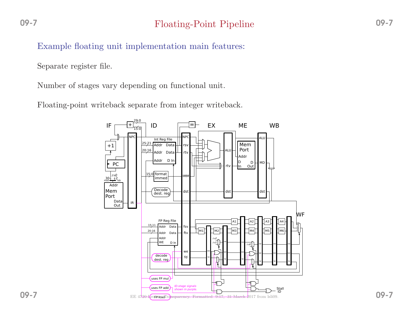Example floating unit implementation main features:

Separate register file.

Number of stages vary depending on functional unit.

Floating-point writeback separate from integer writeback.



09-7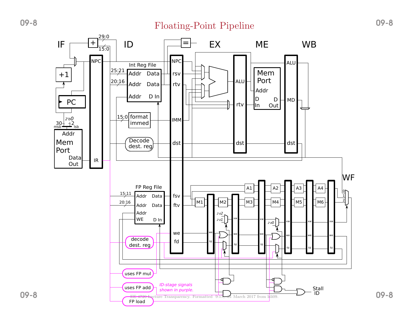# Floating-Point Pipeline 09-8

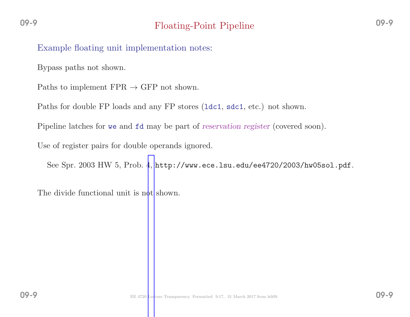Bypass paths not shown.

Paths to implement  $\text{FPR} \to \text{GFP}$  not shown.

Paths for double FP loads and any FP stores (ldc1, sdc1, etc.) not shown.

Pipeline latches for we and  $fd$  may be part of *reservation register* (covered soon).

Use of register pairs for double operands ignored.

See Spr. <sup>2003</sup> HW 5, Prob. [4,](http://www.ece.lsu.edu/ee4720/2003/hw05sol.pdf) http://www.ece.lsu.edu/ee4720/2003/hw05sol.pdf.

The divide functional unit is not shown.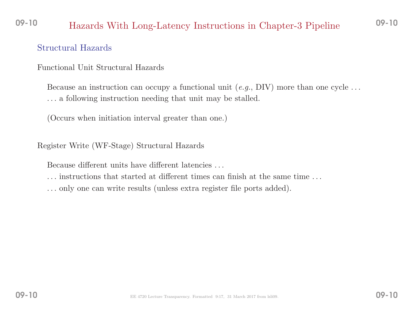#### 09-10Hazards With Long-Latency Instructions in Chapter-3 Pipeline 09-10

#### Structural Hazards

Functional Unit Structural Hazards

Because an instruction can occupy a functional unit  $(e.g., DIV)$  more than one cycle ... . . . <sup>a</sup> following instruction needing that unit may be stalled.

(Occurs when initiation interval greater than one.)

Register Write (WF-Stage) Structural Hazards

Because different units have different latencies . . .

- . . . instructions that started at different times can finish at the same time . . .
- . . . only one can write results (unless extra register file ports added).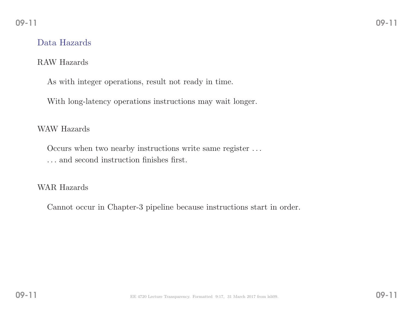#### Data Hazards

#### RAW Hazards

As with integer operations, result not ready in time.

With long-latency operations instructions may wait longer.

#### WAW Hazards

Occurs when two nearby instructions write same register . . . . . . and second instruction finishes first.

#### WAR Hazards

Cannot occur in Chapter-3 <sup>p</sup>ipeline because instructions start in order.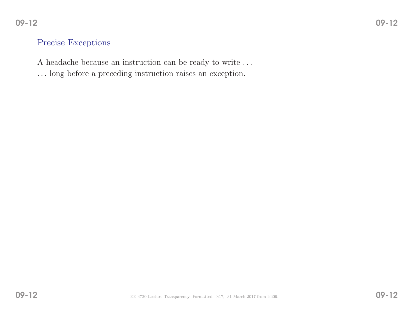# $2^{10}$

# Precise Exceptions

<sup>A</sup> headache because an instruction can be ready to write . . .

. . . long before <sup>a</sup> preceding instruction raises an exception.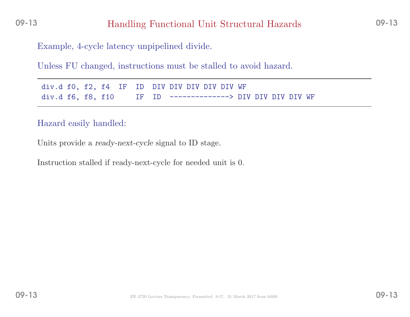Example, 4-cycle latency unpipelined divide.

Unless FU changed, instructions must be stalled to avoid hazard.

div.d f0, f2, f4 IF ID DIV DIV DIV DIV DIV WF<br>div.d f6, f8, f10 IF ID --------------> DI IF ID --------------> DIV DIV DIV DIV WF

#### Hazard easily handled:

Units provide <sup>a</sup> ready-next-cycle signal to ID stage.

Instruction stalled if ready-next-cycle for needed unit is 0.

09-13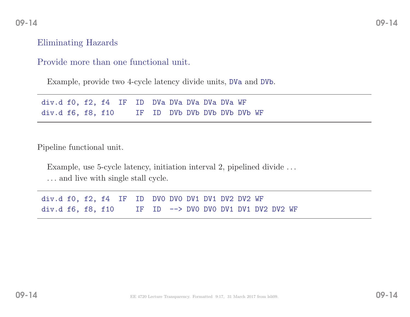#### Eliminating Hazards

#### Provide more than one functional unit.

Example, provide two 4-cycle latency divide units, DVa and DVb.

div.d f0, f2, f4 IF ID DVa DVa DVa DVa DVa WF<br>div.d f6, f8, f10 IF ID DVb DVb DVb DVb DV IF ID DVb DVb DVb DVb DVb WF

Pipeline functional unit.

Example, use 5-cycle latency, initiation interval 2, pipelined divide ... . . . and live with single stall cycle.

div.d f0, f2, f4 IF ID DV0 DV0 DV1 DV1 DV2 DV2 WF div.d f6, f8, f10 IF ID --> DV0 DV0 DV1 DV1 DV2 DV2 WF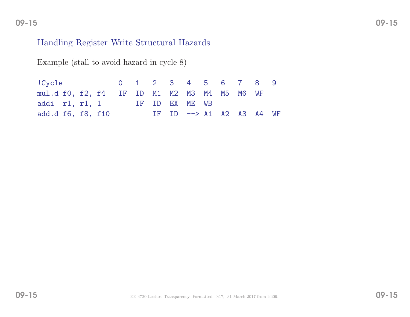#### 09-15

#### Handling Register Write Structural Hazards

| !Cycle 0 1 2 3 4 5 6 7 8 9                  |  |  |  |                                    |  |  |  |
|---------------------------------------------|--|--|--|------------------------------------|--|--|--|
| mul.d f0, f2, f4 IF ID M1 M2 M3 M4 M5 M6 WF |  |  |  |                                    |  |  |  |
| addi r1, r1, 1 IF ID EX ME WB               |  |  |  |                                    |  |  |  |
| add.d f6, f8, f10                           |  |  |  | IF ID $\rightarrow$ A1 A2 A3 A4 WF |  |  |  |

Example (stall to avoid hazard in cycle 8)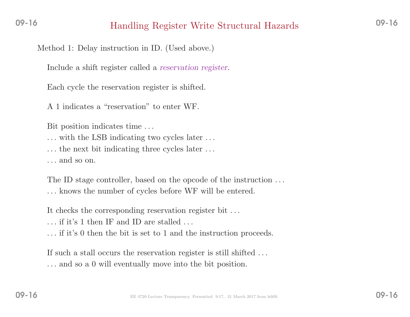# Handling Register Write Structural Hazards 09-16

Method 1: Delay instruction in ID. (Used above.)

Include <sup>a</sup> shift register called <sup>a</sup> reservation register.

Each cycle the reservation register is shifted.

<sup>A</sup> <sup>1</sup> indicates <sup>a</sup> "reservation" to enter WF.

Bit position indicates time . . .

... with the LSB indicating two cycles later ...

... the next bit indicating three cycles later ...

. . . and so on.

The ID stage controller, based on the opcode of the instruction . . . . . . knows the number of cycles before WF will be entered.

It checks the corresponding reservation register bit . . .

. . . if it's <sup>1</sup> then IF and ID are stalled . . .

. . . if it's <sup>0</sup> then the bit is set to <sup>1</sup> and the instruction proceeds.

If such <sup>a</sup> stall occurs the reservation register is still shifted . . . . . . and so <sup>a</sup> <sup>0</sup> will eventually move into the bit position.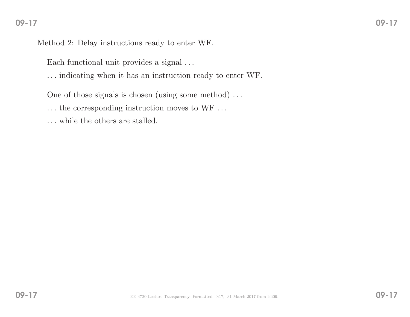Method 2: Delay instructions ready to enter WF.

Each functional unit provides a signal  $\ldots$ 

. . . indicating when it has an instruction ready to enter WF.

One of those signals is chosen (using some method) . . .

... the corresponding instruction moves to WF ...

. . . while the others are stalled.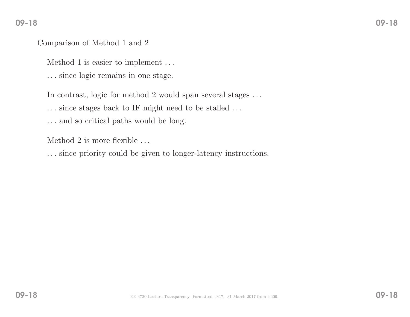#### Comparison of Method <sup>1</sup> and <sup>2</sup>

Method <sup>1</sup> is easier to implement . . .

. . . since logic remains in one stage.

In contrast, logic for method <sup>2</sup> would span several stages . . .

. . . since stages back to IF might need to be stalled . . .

. . . and so critical paths would be long.

Method <sup>2</sup> is more flexible . . .

. . . since priority could be <sup>g</sup>iven to longer-latency instructions.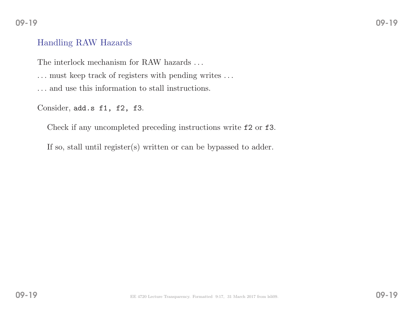# 09-19

#### Handling RAW Hazards

The interlock mechanism for RAW hazards  $\ldots$ 

 $\ldots$  must keep track of registers with pending writes  $\ldots$ 

. . . and use this information to stall instructions.

Consider,  $add.s$  f1, f2, f3.

Check if any uncompleted preceding instructions write f2 or f3.

If so, stall until register(s) written or can be bypassed to adder.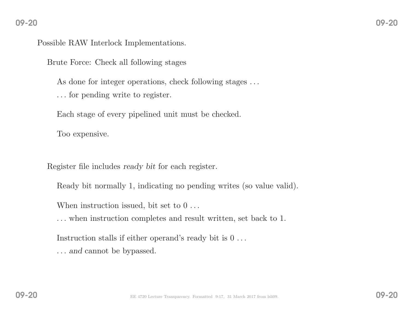Possible RAW Interlock Implementations.

Brute Force: Check all following stages

As done for integer operations, check following stages ...

. . . for pending write to register.

Each stage of every <sup>p</sup>ipelined unit must be checked.

Too expensive.

Register file includes ready bit for each register.

Ready bit normally 1, indicating no pending writes (so value valid).

When instruction issued, bit set to  $0 \ldots$ 

. . . when instruction completes and result written, set back to 1.

Instruction stalls if either operand's ready bit is  $0 \ldots$ 

... and cannot be bypassed.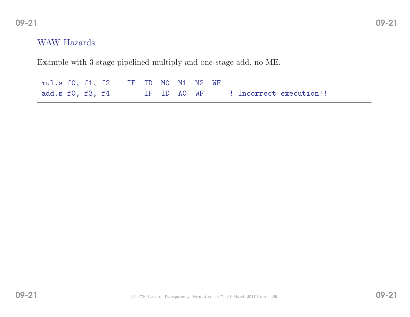#### WAW Hazards

Example with 3-stage <sup>p</sup>ipelined multiply and one-stage add, no ME.

| mul.s f0, f1, f2 IF ID MO M1 M2 WF |  |  |             |  |                         |
|------------------------------------|--|--|-------------|--|-------------------------|
| add.s f0, f3, f4                   |  |  | IF ID AO WF |  | ! Incorrect execution!! |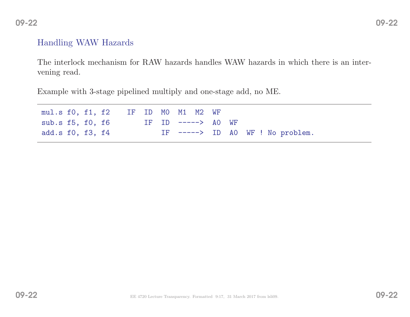# $2^{2}$

## Handling WAW Hazards

The interlock mechanism for RAW hazards handles WAW hazards in which there is an intervening read.

Example with 3-stage <sup>p</sup>ipelined multiply and one-stage add, no ME.

| mul.s f0, f1, f2 IF ID M0 M1 M2 WF |  |  |  |                    |                                  |
|------------------------------------|--|--|--|--------------------|----------------------------------|
| sub.s f5, f0, f6                   |  |  |  | IF ID $--->$ AO WF |                                  |
| add.s f0, f3, f4                   |  |  |  |                    | IF $--->$ ID AO WF ! No problem. |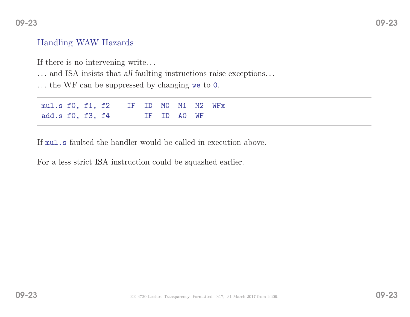#### Handling WAW Hazards

If there is no intervening write. . .

- . . . and ISA insists that all faulting instructions raise exceptions. . .
- . . . the WF can be suppressed by changing we to <sup>0</sup>.

| mul.s f0, f1, f2 IF ID M0 M1 M2 WFx |  |  |  |             |  |
|-------------------------------------|--|--|--|-------------|--|
| add.s f0, f3, f4                    |  |  |  | IF ID AO WF |  |

If mul.s faulted the handler would be called in execution above.

For <sup>a</sup> less strict ISA instruction could be squashed earlier.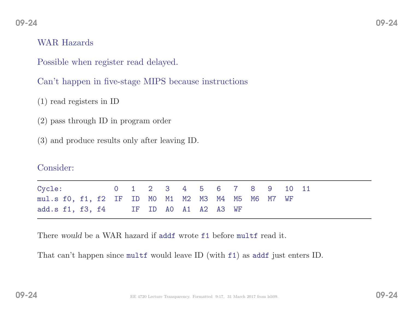#### WAR Hazards

Possible when register read delayed.

Can't happen in five-stage MIPS because instructions

(1) read registers in ID

(2) pass through ID in program order

(3) and produce results only after leaving ID.

#### Consider:

| Cycle: 0 1 2 3 4 5 6 7 8 9 10 11                  |  |  |  |  |  |  |  |
|---------------------------------------------------|--|--|--|--|--|--|--|
| mul.s f0, f1, f2 IF ID M0 M1 M2 M3 M4 M5 M6 M7 WF |  |  |  |  |  |  |  |
| add.s f1, f3, f4 IF ID AO A1 A2 A3 WF             |  |  |  |  |  |  |  |

There would be a WAR hazard if addf wrote f1 before multf read it.

That can't happen since multf would leave ID (with f1) as addf just enters ID.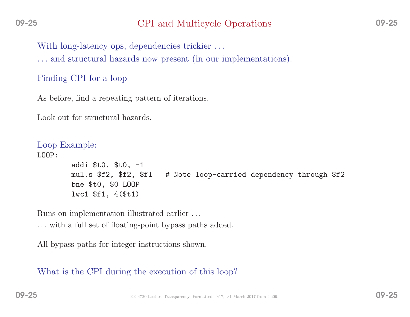# CPI and Multicycle Operations 09-25

With long-latency ops, dependencies trickier ...

. . . and structural hazards now present (in our implementations).

## Finding CPI for <sup>a</sup> loop

As before, find <sup>a</sup> repeating pattern of iterations.

Look out for structural hazards.

```
Loop Example:
LOOP:addi $t0, $t0, -1<br>mul.s $f2, $f2, $f1
                                   # Note loop-carried dependency through $f2
         bne $t0, $0 LOOP
         lwc1 $f1, 4($t1)
```
Runs on implementation illustrated earlier . . .

. . . with <sup>a</sup> full set of floating-point bypass paths added.

All bypass paths for integer instructions shown.

What is the CPI during the execution of this loop?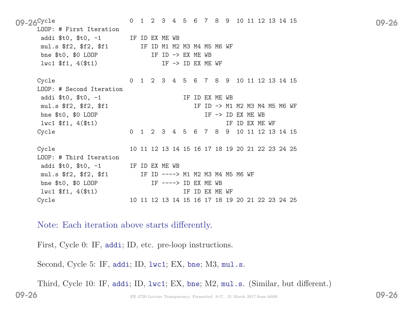09-26<sup>Cycle</sup> 0 1 2 3 4 5 6 7 8 9 10 11 12 13 14 15 09-26 LOOP: # First Iteration addi \$t0, \$t0, -1 IF ID EX ME WB<br>mul.s \$f2, \$f2, \$f1 IF ID M1 M2 IF ID M1 M2 M3 M4 M5 M6 WF bne \$t0, \$0 LOOP  $Iw = 10 \rightarrow EX$  ME WB<br> $Iw = 10 \rightarrow 10 \rightarrow EX$  ME NE  $IF$   $\rightarrow$  ID EX ME WF Cycle <sup>0</sup> <sup>1</sup> <sup>2</sup> <sup>3</sup> <sup>4</sup> <sup>5</sup> <sup>6</sup> <sup>7</sup> <sup>8</sup> <sup>9</sup> <sup>10</sup> <sup>11</sup> <sup>12</sup> <sup>13</sup> <sup>14</sup> <sup>15</sup> LOOP: # Second Iteration addi  $t0$ ,  $t0$ ,  $-1$  IF ID EX ME WB mul.s \$f2, \$f2, \$f1 IF ID -> M1 M2 M3 M4 M5 M6 WF bne  $$t0$ ,  $$0$  LOOP IF -> ID EX ME WB lwc1 \$f1, 4(\$t1) IF ID EX ME WF Cycle <sup>0</sup> <sup>1</sup> <sup>2</sup> <sup>3</sup> <sup>4</sup> <sup>5</sup> <sup>6</sup> <sup>7</sup> <sup>8</sup> <sup>9</sup> <sup>10</sup> <sup>11</sup> <sup>12</sup> <sup>13</sup> <sup>14</sup> <sup>15</sup> Cycle <sup>10</sup> <sup>11</sup> <sup>12</sup> <sup>13</sup> <sup>14</sup> <sup>15</sup> <sup>16</sup> <sup>17</sup> <sup>18</sup> <sup>19</sup> <sup>20</sup> <sup>21</sup> <sup>22</sup> <sup>23</sup> <sup>24</sup> <sup>25</sup> LOOP: # Third Iteration addi \$t0, \$t0, -1 IF ID EX ME WB<br>mul.s \$f2, \$f2, \$f1 IF ID ----> IF ID ----> M1 M2 M3 M4 M5 M6 WF bne  $$t0, $0$  LOOP IF  $--->$  ID EX ME WB lwc1 \$f1, 4(\$t1) IF ID EX ME WF Cycle <sup>10</sup> <sup>11</sup> <sup>12</sup> <sup>13</sup> <sup>14</sup> <sup>15</sup> <sup>16</sup> <sup>17</sup> <sup>18</sup> <sup>19</sup> <sup>20</sup> <sup>21</sup> <sup>22</sup> <sup>23</sup> <sup>24</sup> <sup>25</sup>

Note: Each iteration above starts differently.

First, Cycle 0: IF, addi; ID, etc. pre-loop instructions.

Second, Cycle 5: IF, addi; ID, 1wc1; EX, bne; M3, mul.s.

Third, Cycle 10: IF, addi; ID, lwc1; EX, bne; M2, mul.s. (Similar, but different.)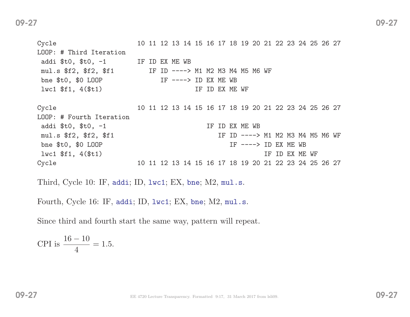| Cycle                                                   |    |  | 10 11 12 13 14 15 16 17 18 19 20 21 22 23 24 25 26 27 |  |  |                                  |  |                       |                |  |  |  |
|---------------------------------------------------------|----|--|-------------------------------------------------------|--|--|----------------------------------|--|-----------------------|----------------|--|--|--|
| LOOP: # Third Iteration                                 |    |  |                                                       |  |  |                                  |  |                       |                |  |  |  |
| addi $$t0, $t0, -1$ IF ID EX ME WB                      |    |  |                                                       |  |  |                                  |  |                       |                |  |  |  |
| mul.s \$f2, \$f2, \$f1 TF ID ----> M1 M2 M3 M4 M5 M6 WF |    |  |                                                       |  |  |                                  |  |                       |                |  |  |  |
| bne $$t0, $0$ LOOP                                      |    |  | IF $--->$ ID EX ME WB                                 |  |  |                                  |  |                       |                |  |  |  |
| $l$ wc1 $$f1, 4 ($t1)$                                  |    |  |                                                       |  |  | IF ID EX ME WF                   |  |                       |                |  |  |  |
| Cycle                                                   |    |  | 10 11 12 13 14 15 16 17 18 19 20 21 22 23 24 25 26 27 |  |  |                                  |  |                       |                |  |  |  |
| LOOP: # Fourth Iteration                                |    |  |                                                       |  |  |                                  |  |                       |                |  |  |  |
| addi \$t0, \$t0, -1                                     |    |  |                                                       |  |  | IF ID EX ME WB                   |  |                       |                |  |  |  |
| mul.s \$f2, \$f2, \$f1                                  |    |  |                                                       |  |  | IF ID ----> M1 M2 M3 M4 M5 M6 WF |  |                       |                |  |  |  |
| bne $$t0, $0$ LOOP                                      |    |  |                                                       |  |  |                                  |  | IF $--->$ ID EX ME WB |                |  |  |  |
| $l$ wc1 \$f1, 4(\$t1)                                   |    |  |                                                       |  |  |                                  |  |                       | IF ID EX ME WF |  |  |  |
| Cycle                                                   | 10 |  | 11 12 13 14 15 16 17 18 19 20 21 22 23 24 25 26 27    |  |  |                                  |  |                       |                |  |  |  |

Third, Cycle 10: IF, addi; ID, lwc1; EX, bne; M2, mul.s.

Fourth, Cycle 16: IF, addi; ID, lwc1; EX, bne; M2, mul.s.

Since third and fourth start the same way, pattern will repeat.

$$
CPI \text{ is } \frac{16 - 10}{4} = 1.5.
$$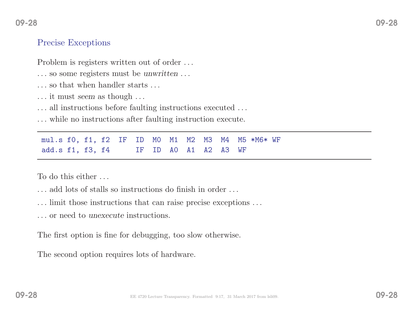# Precise Exceptions

09-28

Problem is registers written out of order ...

- ... so some registers must be *unwritten* ...
- . . . so that when handler starts . . .
- $\dots$  it must seem as though  $\dots$
- . . . all instructions before faulting instructions executed . . .
- . . . while no instructions after faulting instruction execute.

mul.s f0, f1, f2 IF ID M0 M1 M2 M3 M4 M5 \*M6\* WF<br>add.s f1, f3, f4 IF ID A0 A1 A2 A3 WF add.s f1, f3, f4 IF ID

To do this either . . .

- . . . add lots of stalls so instructions do finish in order . . .
- . . . limit those instructions that can raise precise exceptions . . .
- . . . or need to unexecute instructions.

The first option is fine for debugging, too slow otherwise.

The second option requires lots of hardware.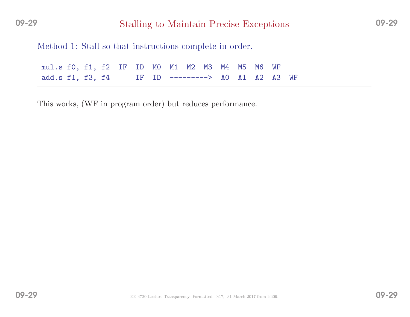Method 1: Stall so that instructions complete in order.

| mul.s f0, f1, f2 IF ID M0 M1 M2 M3 M4 M5 M6 WF   |  |  |  |  |  |  |
|--------------------------------------------------|--|--|--|--|--|--|
| add.s f1, f3, f4 IF ID ---------> A0 A1 A2 A3 WF |  |  |  |  |  |  |

This works, (WF in program order) but reduces performance.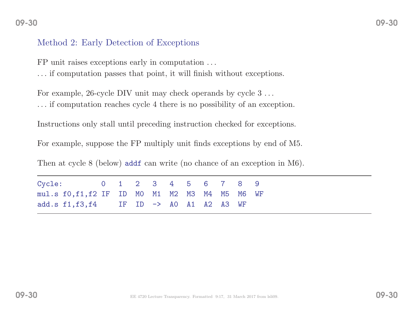#### Method 2: Early Detection of Exceptions

FP unit raises exceptions early in computation . . . . . . if computation passes that point, it will finish without exceptions.

For example, 26-cycle DIV unit may check operands by cycle <sup>3</sup> . . . . . . if computation reaches cycle <sup>4</sup> there is no possibility of an exception.

Instructions only stall until preceding instruction checked for exceptions.

For example, suppose the FP multiply unit finds exceptions by end of M5.

Then at cycle <sup>8</sup> (below) addf can write (no chance of an exception in M6).

| Cycle: 0 1 2 3 4 5 6 7 8 9                            |  |  |  |  |  |  |
|-------------------------------------------------------|--|--|--|--|--|--|
| mul.s f0, f1, f2 IF ID M0 M1 M2 M3 M4 M5 M6 WF        |  |  |  |  |  |  |
| add.s $f1, f3, f4$ IF ID $\rightarrow$ AO A1 A2 A3 WF |  |  |  |  |  |  |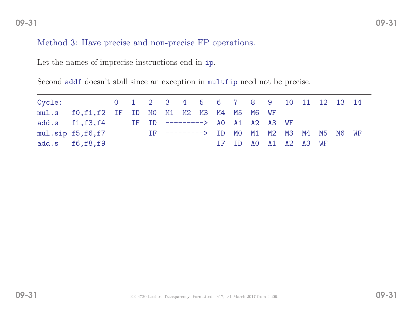#### Method 3: Have precise and non-precise FP operations.

Let the names of imprecise instructions end in ip.

Second addf doesn't stall since an exception in multfip need not be precise.

| Cycle: 0 1 2 3 4 5 6 7 8 9 10 11 12 13 14                   |  |  |  |  |  |                      |  |  |
|-------------------------------------------------------------|--|--|--|--|--|----------------------|--|--|
| mul.s f0,f1,f2 IF ID MO M1 M2 M3 M4 M5 M6 WF                |  |  |  |  |  |                      |  |  |
| add.s f1, f3, f4 IF ID ---------> AO A1 A2 A3 WF            |  |  |  |  |  |                      |  |  |
| mul.sip f5, f6, f7 [IF --------> ID MO M1 M2 M3 M4 M5 M6 WF |  |  |  |  |  |                      |  |  |
| add.s $f6,f8,f9$                                            |  |  |  |  |  | IF ID AO A1 A2 A3 WF |  |  |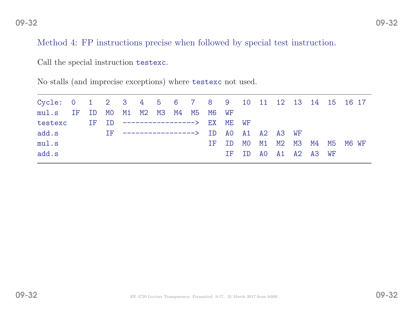Method 4: FP instructions precise when followed by special test instruction.

Call the special instruction testexc.

No stalls (and imprecise exceptions) where testexc not used.

|  |  |  |  |  | mul.s IF ID MO M1 M2 M3 M4 M5 M6 WF | testexc IF ID ------------------> EX ME WF |  | IF -----------------> ID AO A1 A2 A3 WF | Cycle: 0 1 2 3 4 5 6 7 8 9 10 11 12 13 14 15 16 17<br>IF ID MO M1 M2 M3 M4 M5 M6 WF<br>IF ID AO A1 A2 A3 WF |
|--|--|--|--|--|-------------------------------------|--------------------------------------------|--|-----------------------------------------|-------------------------------------------------------------------------------------------------------------|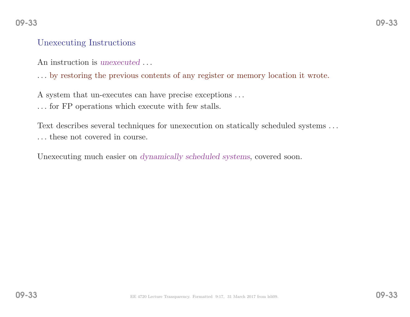#### Unexecuting Instructions

An instruction is unexecuted ...

. . . by restoring the previous contents of any register or memory location it wrote.

<sup>A</sup> system that un-executes can have precise exceptions . . .

. . . for FP operations which execute with few stalls.

Text describes several techniques for unexecution on statically scheduled systems . . . . . . these not covered in course.

Unexecuting much easier on *dynamically scheduled systems*, covered soon.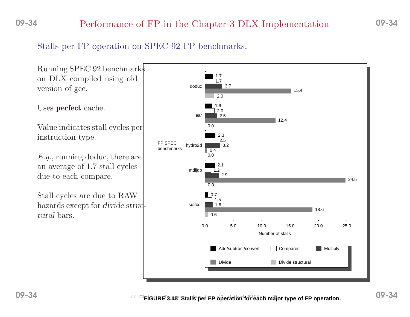#### 09-34Performance of FP in the Chapter-3 DLX Implementation

## Stalls per FP operation on SPEC <sup>92</sup> FP benchmarks.

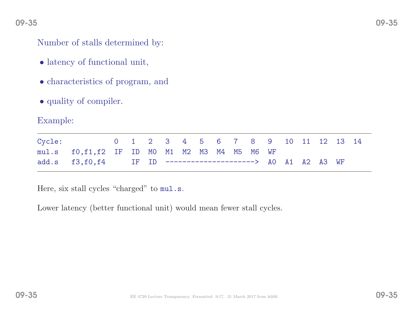#### 09-35

Number of stalls determined by:

- latency of functional unit,
- characteristics of program, and
- quality of compiler.

#### Example:

| Cycle: 0 1 2 3 4 5 6 7 8 9 10 11 12 13 14                   |  |  |  |  |  |  |  |  |
|-------------------------------------------------------------|--|--|--|--|--|--|--|--|
| mul.s f0,f1,f2 IF ID M0 M1 M2 M3 M4 M5 M6 WF                |  |  |  |  |  |  |  |  |
| add.s f3,f0,f4 IF ID ----------------------> A0 A1 A2 A3 WF |  |  |  |  |  |  |  |  |

Here, six stall cycles "charged" to mul.s.

Lower latency (better functional unit) would mean fewer stall cycles.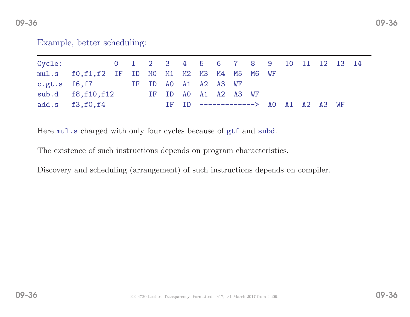| Cycle: 0 1 2 3 4 5 6 7 8 9 10 11 12 13 14    |  |                                     |  |  |  |  |  |  |
|----------------------------------------------|--|-------------------------------------|--|--|--|--|--|--|
| mul.s f0,f1,f2 IF ID MO M1 M2 M3 M4 M5 M6 WF |  |                                     |  |  |  |  |  |  |
| c.gt.s $f6, f7$ IF ID AO A1 A2 A3 WF         |  |                                     |  |  |  |  |  |  |
| sub.d f8, f10, f12                           |  | IF ID AO A1 A2 A3 WF                |  |  |  |  |  |  |
| add.s $f3,f0,f4$                             |  | IF ID -------------> AO A1 A2 A3 WF |  |  |  |  |  |  |

Here mul.s charged with only four cycles because of <sup>g</sup>tf and subd.

The existence of such instructions depends on program characteristics.

Discovery and scheduling (arrangement) of such instructions depends on compiler.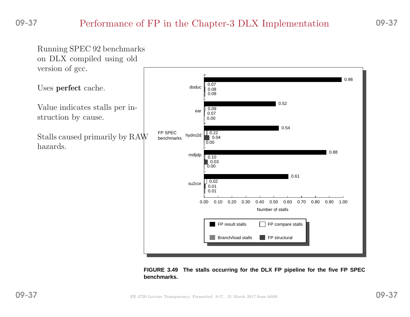#### 09-37Performance of FP in the Chapter-3 DLX Implementation